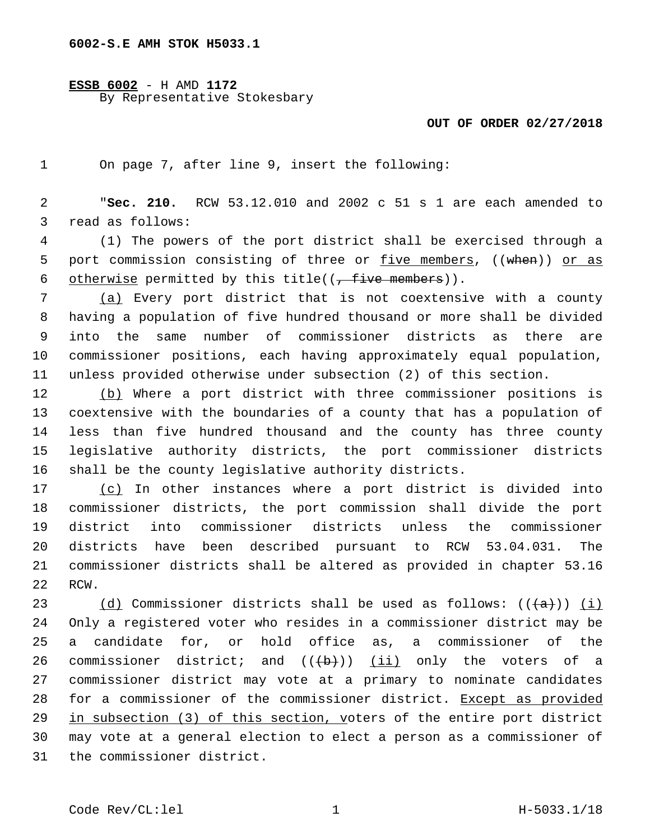## **ESSB 6002** - H AMD **1172** By Representative Stokesbary

## **OUT OF ORDER 02/27/2018**

On page 7, after line 9, insert the following:1

 "**Sec. 210.** RCW 53.12.010 and 2002 c 51 s 1 are each amended to 3 read as follows:

 (1) The powers of the port district shall be exercised through a 5 port commission consisting of three or five members, ((when)) or as 6 otherwise permitted by this title( $(-$  five members)).

 (a) Every port district that is not coextensive with a county having a population of five hundred thousand or more shall be divided into the same number of commissioner districts as there are commissioner positions, each having approximately equal population, unless provided otherwise under subsection (2) of this section.

 (b) Where a port district with three commissioner positions is coextensive with the boundaries of a county that has a population of less than five hundred thousand and the county has three county legislative authority districts, the port commissioner districts shall be the county legislative authority districts.

 (c) In other instances where a port district is divided into commissioner districts, the port commission shall divide the port district into commissioner districts unless the commissioner districts have been described pursuant to RCW 53.04.031. The commissioner districts shall be altered as provided in chapter 53.16 22 RCW.

23 (d) Commissioner districts shall be used as follows:  $((+a))$  (i) Only a registered voter who resides in a commissioner district may be a candidate for, or hold office as, a commissioner of the 26 commissioner district; and  $((+b))$   $(ii)$  only the voters of a commissioner district may vote at a primary to nominate candidates for a commissioner of the commissioner district. Except as provided in subsection (3) of this section, voters of the entire port district may vote at a general election to elect a person as a commissioner of 31 the commissioner district.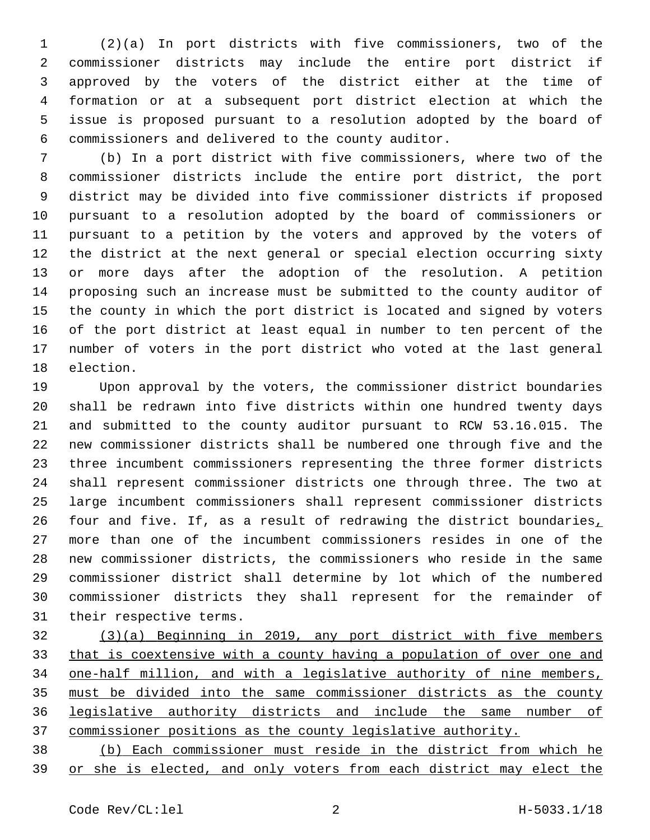(2)(a) In port districts with five commissioners, two of the commissioner districts may include the entire port district if approved by the voters of the district either at the time of formation or at a subsequent port district election at which the issue is proposed pursuant to a resolution adopted by the board of commissioners and delivered to the county auditor.6

 (b) In a port district with five commissioners, where two of the commissioner districts include the entire port district, the port district may be divided into five commissioner districts if proposed pursuant to a resolution adopted by the board of commissioners or pursuant to a petition by the voters and approved by the voters of the district at the next general or special election occurring sixty or more days after the adoption of the resolution. A petition proposing such an increase must be submitted to the county auditor of the county in which the port district is located and signed by voters of the port district at least equal in number to ten percent of the number of voters in the port district who voted at the last general 18 election.

 Upon approval by the voters, the commissioner district boundaries shall be redrawn into five districts within one hundred twenty days and submitted to the county auditor pursuant to RCW 53.16.015. The new commissioner districts shall be numbered one through five and the three incumbent commissioners representing the three former districts shall represent commissioner districts one through three. The two at large incumbent commissioners shall represent commissioner districts 26 four and five. If, as a result of redrawing the district boundaries, more than one of the incumbent commissioners resides in one of the new commissioner districts, the commissioners who reside in the same commissioner district shall determine by lot which of the numbered commissioner districts they shall represent for the remainder of 31 their respective terms.

 (3)(a) Beginning in 2019, any port district with five members 33 that is coextensive with a county having a population of over one and one-half million, and with a legislative authority of nine members, must be divided into the same commissioner districts as the county legislative authority districts and include the same number of commissioner positions as the county legislative authority.

 (b) Each commissioner must reside in the district from which he or she is elected, and only voters from each district may elect the